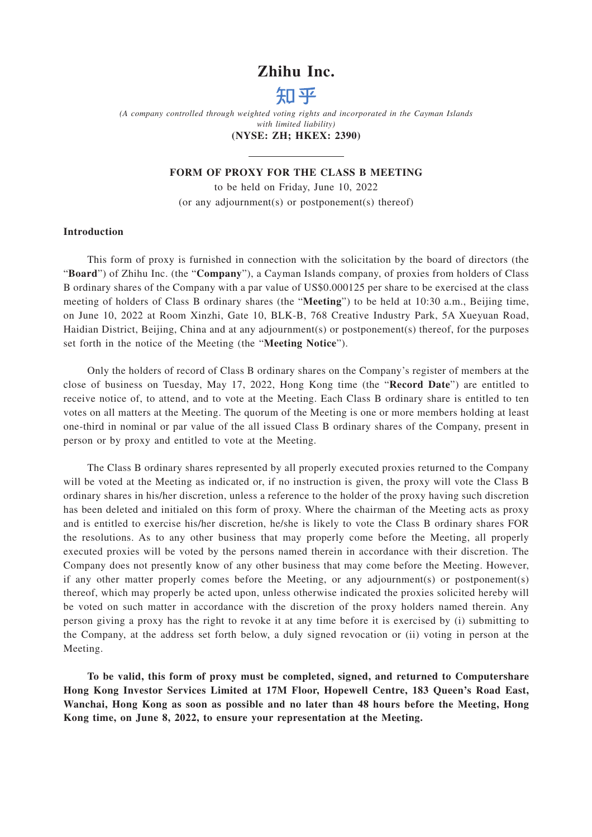### **Zhihu Inc.**



*(A company controlled through weighted voting rights and incorporated in the Cayman Islands with limited liability)*

### **(NYSE: ZH; HKEX: 2390)**

### **FORM OF PROXY FOR THE CLASS B MEETING**

to be held on Friday, June 10, 2022 (or any adjournment(s) or postponement(s) thereof)

### **Introduction**

This form of proxy is furnished in connection with the solicitation by the board of directors (the "**Board**") of Zhihu Inc. (the "**Company**"), a Cayman Islands company, of proxies from holders of Class B ordinary shares of the Company with a par value of US\$0.000125 per share to be exercised at the class meeting of holders of Class B ordinary shares (the "**Meeting**") to be held at 10:30 a.m., Beijing time, on June 10, 2022 at Room Xinzhi, Gate 10, BLK-B, 768 Creative Industry Park, 5A Xueyuan Road, Haidian District, Beijing, China and at any adjournment(s) or postponement(s) thereof, for the purposes set forth in the notice of the Meeting (the "**Meeting Notice**").

Only the holders of record of Class B ordinary shares on the Company's register of members at the close of business on Tuesday, May 17, 2022, Hong Kong time (the "**Record Date**") are entitled to receive notice of, to attend, and to vote at the Meeting. Each Class B ordinary share is entitled to ten votes on all matters at the Meeting. The quorum of the Meeting is one or more members holding at least one-third in nominal or par value of the all issued Class B ordinary shares of the Company, present in person or by proxy and entitled to vote at the Meeting.

The Class B ordinary shares represented by all properly executed proxies returned to the Company will be voted at the Meeting as indicated or, if no instruction is given, the proxy will vote the Class B ordinary shares in his/her discretion, unless a reference to the holder of the proxy having such discretion has been deleted and initialed on this form of proxy. Where the chairman of the Meeting acts as proxy and is entitled to exercise his/her discretion, he/she is likely to vote the Class B ordinary shares FOR the resolutions. As to any other business that may properly come before the Meeting, all properly executed proxies will be voted by the persons named therein in accordance with their discretion. The Company does not presently know of any other business that may come before the Meeting. However, if any other matter properly comes before the Meeting, or any adjournment(s) or postponement(s) thereof, which may properly be acted upon, unless otherwise indicated the proxies solicited hereby will be voted on such matter in accordance with the discretion of the proxy holders named therein. Any person giving a proxy has the right to revoke it at any time before it is exercised by (i) submitting to the Company, at the address set forth below, a duly signed revocation or (ii) voting in person at the Meeting.

**To be valid, this form of proxy must be completed, signed, and returned to Computershare Hong Kong Investor Services Limited at 17M Floor, Hopewell Centre, 183 Queen's Road East, Wanchai, Hong Kong as soon as possible and no later than 48 hours before the Meeting, Hong Kong time, on June 8, 2022, to ensure your representation at the Meeting.**